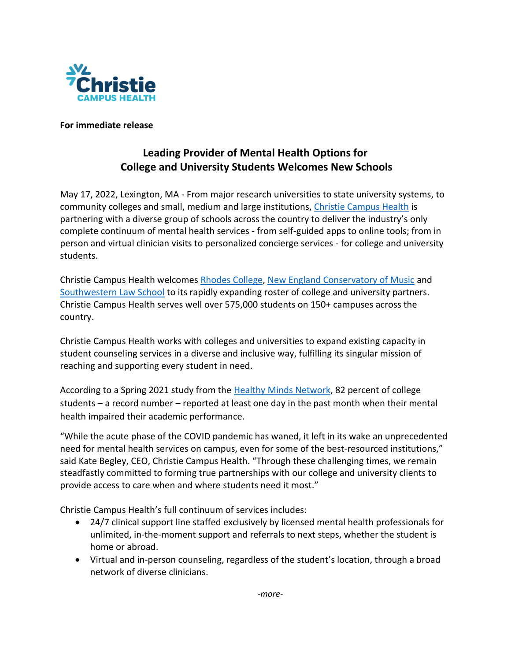

**For immediate release**

## **Leading Provider of Mental Health Options for College and University Students Welcomes New Schools**

May 17, 2022, Lexington, MA - From major research universities to state university systems, to community colleges and small, medium and large institutions, [Christie Campus Health](http://www.christiecampus.com/) is partnering with a diverse group of schools across the country to deliver the industry's only complete continuum of mental health services - from self-guided apps to online tools; from in person and virtual clinician visits to personalized concierge services - for college and university students.

Christie Campus Health welcomes [Rhodes College,](https://www.rhodes.edu/) [New England Conservatory of Music](https://necmusic.edu/) and [Southwestern Law School](https://www.swlaw.edu/) to its rapidly expanding roster of college and university partners. Christie Campus Health serves well over 575,000 students on 150+ campuses across the country.

Christie Campus Health works with colleges and universities to expand existing capacity in student counseling services in a diverse and inclusive way, fulfilling its singular mission of reaching and supporting every student in need.

According to a Spring 2021 study from the [Healthy Minds Network,](https://healthymindsnetwork.org/) 82 percent of college students – a record number – reported at least one day in the past month when their mental health impaired their academic performance.

"While the acute phase of the COVID pandemic has waned, it left in its wake an unprecedented need for mental health services on campus, even for some of the best-resourced institutions," said Kate Begley, CEO, Christie Campus Health. "Through these challenging times, we remain steadfastly committed to forming true partnerships with our college and university clients to provide access to care when and where students need it most."

Christie Campus Health's full continuum of services includes:

- 24/7 clinical support line staffed exclusively by licensed mental health professionals for unlimited, in-the-moment support and referrals to next steps, whether the student is home or abroad.
- Virtual and in-person counseling, regardless of the student's location, through a broad network of diverse clinicians.